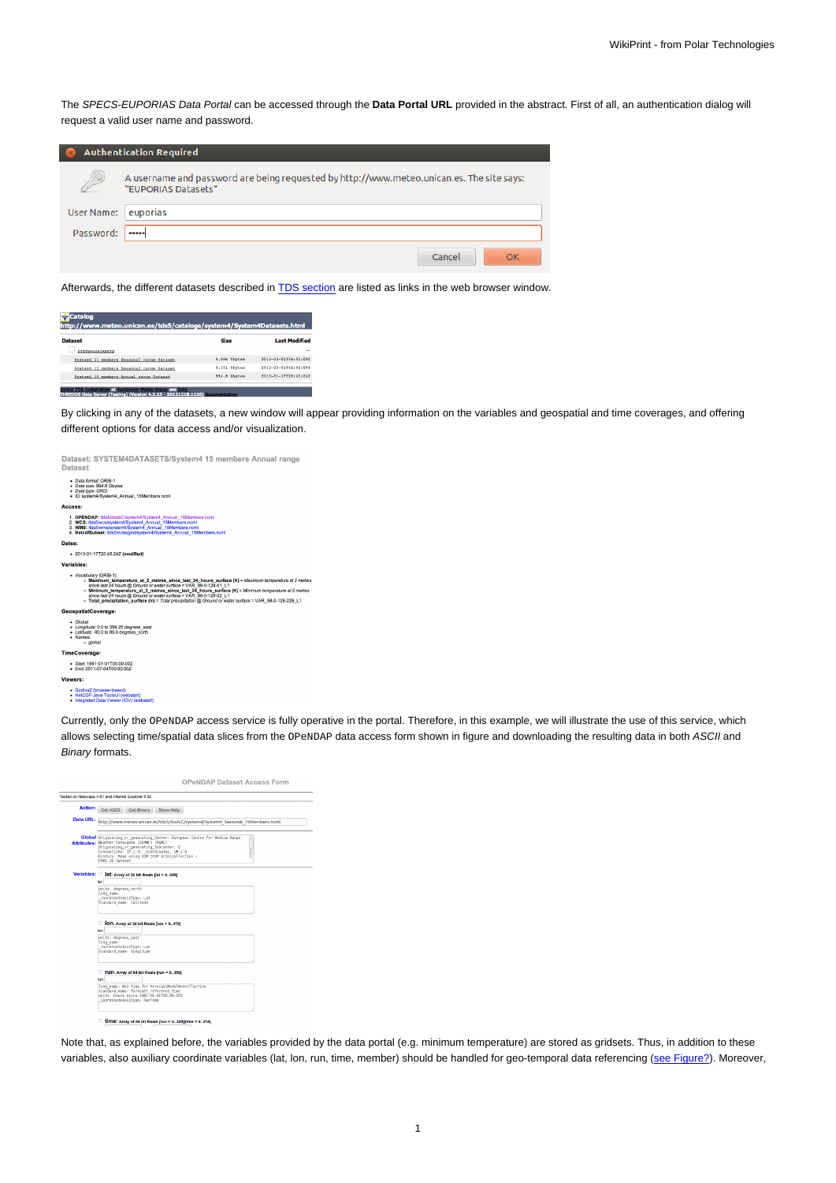The SPECS-EUPORIAS Data Portal can be accessed through the **Data Portal URL** provided in the abstract. First of all, an authentication dialog will request a valid user name and password.

|                   | <b>Authentication Required</b>                                                                                   |
|-------------------|------------------------------------------------------------------------------------------------------------------|
| $\odot$           | A username and password are being requested by http://www.meteo.unican.es. The site says:<br>"EUPORIAS Datasets" |
| <b>User Name:</b> | euporias                                                                                                         |
| Password:         | $$                                                                                                               |
|                   | Cancel<br>OK                                                                                                     |

Afterwards, the different datasets described in [TDS section](https://meteo.unican.es/trac/wiki/udg/ecoms/dataserver/web#s.thredds) are listed as links in the web browser window.

| Catalog<br>http://www.meteo.unican.es/tds5/catalogs/system4/System4Datasets.html |              |                      |  |  |  |
|----------------------------------------------------------------------------------|--------------|----------------------|--|--|--|
| <b>Dataset</b>                                                                   | <b>Size</b>  | <b>Last Modified</b> |  |  |  |
| SYSTEM4DATASETS                                                                  |              | $\sim$               |  |  |  |
| System4 51 members Seasonal range Dataset                                        | 4.886 Thytes | 2013-03-01716:05:092 |  |  |  |
| System4 15 members Seasonal range Dataset                                        | 4.311 Thytes | 2013-03-01716:05:092 |  |  |  |
| System4 15 members Annual range Dataset                                          | 994.8 Gbytes | 2013-01-17720:45:242 |  |  |  |

By clicking in any of the datasets, a new window will appear providing information on the variables and geospatial and time coverages, and offering different options for data access and/or visualization.

| Dataset: SYSTEM4DATASETS/System4 15 members Annual range<br><b>Dataset</b>                                                                                                                                                                                                                                                                                                                                                                                                        |
|-----------------------------------------------------------------------------------------------------------------------------------------------------------------------------------------------------------------------------------------------------------------------------------------------------------------------------------------------------------------------------------------------------------------------------------------------------------------------------------|
| . Data format: GRIB-1<br>· Data size: 994.8 Gbvtes<br>· Data type: GRID<br>· ID: system4/System4_Annual_15Members.ncml                                                                                                                                                                                                                                                                                                                                                            |
| Access:                                                                                                                                                                                                                                                                                                                                                                                                                                                                           |
| 1. OPENDAP: Ads5/dodsC/system4/System4_Annual_15Members.ncml<br>2. WCS: /tds5/wcs/system4/System4_Annual_15Members.ncml<br>3. WMS: /tds5/wms/system4/System4_Annual_15Members.ncml<br>4. NetcdfSubset: Ads5/ncss/grid/system4/System4_Annual_15Members.ncml                                                                                                                                                                                                                       |
| Dates:                                                                                                                                                                                                                                                                                                                                                                                                                                                                            |
| · 2013-01-17T20:45:24Z (modified)                                                                                                                                                                                                                                                                                                                                                                                                                                                 |
| Variables:                                                                                                                                                                                                                                                                                                                                                                                                                                                                        |
| · Vocabulary [GRIB-1]:<br>» Maximum_temperature_at_2_metres_since_last_24_hours_surface (K) = Maximum temperature at 2 r.<br>since last 24 hours @ Ground or water surface = VAR 98-0-128-51 L1<br>o Minimum_temperature_at_2_metres_since_last_24_hours_surface (K) = Minimum temperature at 2 m<br>since last 24 hours @ Ground or water surface = VAR 98-0-128-52 L1<br>o Total precipitation surface (m) = Total precipitation @ Ground or water surface = VAR 98-0-128-228 L |
| GeospatialCoverage:                                                                                                                                                                                                                                                                                                                                                                                                                                                               |
| - Global<br>• Longitude: 0.0 to 359.25 degrees east<br>- Latitude: -90.0 to 90.0 degrees north<br>· Names:<br>· global                                                                                                                                                                                                                                                                                                                                                            |
| <b>TimeCoverage:</b>                                                                                                                                                                                                                                                                                                                                                                                                                                                              |
| Start: 1981-01-01T00:00:00Z<br>$End: 2011-07-04T00:00:00Z$                                                                                                                                                                                                                                                                                                                                                                                                                        |
| Viewers:                                                                                                                                                                                                                                                                                                                                                                                                                                                                          |
| · Godiva2 (browser-based)<br>NetCDF-Java ToolsUI (webstart)<br>. Integrated Data Viewer (IDV) (webstart)                                                                                                                                                                                                                                                                                                                                                                          |
|                                                                                                                                                                                                                                                                                                                                                                                                                                                                                   |

Currently, only the OPeNDAP access service is fully operative in the portal. Therefore, in this example, we will illustrate the use of this service, which allows selecting time/spatial data slices from the OPeNDAP data access form shown in figure and downloading the resulting data in both ASCII and Binary formats.

| Tested on Netscape 4.61 and Internet Explorer 5.00.                                                                                                                                                                                                                                                                                       |
|-------------------------------------------------------------------------------------------------------------------------------------------------------------------------------------------------------------------------------------------------------------------------------------------------------------------------------------------|
| Action: Get ASCII<br>Show Help<br>Get Binary                                                                                                                                                                                                                                                                                              |
| Data URL: http://www.meteo.unican.es/tds5/dodsC/system4/System4_Seasonal_15Members.ncml                                                                                                                                                                                                                                                   |
| Global Originating or generating Center: European Centre for Medium Range<br>$\left(\begin{array}{c} \dots \end{array}\right)$<br>Attributes: Weather Forecasts (ECMVF) (RSMC)<br>Originating or generating Subcenter: 0<br>Conventions: CF-1.4, Coordinates, UW-1.0<br>history: Read using CDM IOSP GriblCollection ;<br>FMRC 2D Dataset |
| Variables:       at: Array of 32 bit Reals [lat = 0240]<br>tet:<br>units: degrees north<br>long name:<br>CoordinateAxisType: Lat                                                                                                                                                                                                          |
| standard name: latitude<br>On: Array of 32 bit Reals [lon = 0479]                                                                                                                                                                                                                                                                         |
| ton:<br>units: degrees east<br>long name:<br>CoordinateAxisType: Lon<br>standard name: longitude                                                                                                                                                                                                                                          |
| TUN: Array of 64 bit Reals [run = 0359]<br>run:                                                                                                                                                                                                                                                                                           |
| long name: Run time for ForecastModelRunCollection<br>standard name: forecast reference time<br>units: hours since 1981-01-01T00:00:00Z<br>CoordinateAxisTvpe: RunTime                                                                                                                                                                    |

Note that, as explained before, the variables provided by the data portal (e.g. minimum temperature) are stored as gridsets. Thus, in addition to these variables, also auxiliary coordinate variables (lat, lon, run, time, member) should be handled for geo-temporal data referencing ([see Figure](https://meteo.unican.es/trac/attachment/wiki/udg/ecoms/dataserver/web/openDAPwindow.png)[?](https://meteo.unican.es/trac/raw-attachment/wiki/udg/ecoms/dataserver/web/openDAPwindow.png)). Moreover,